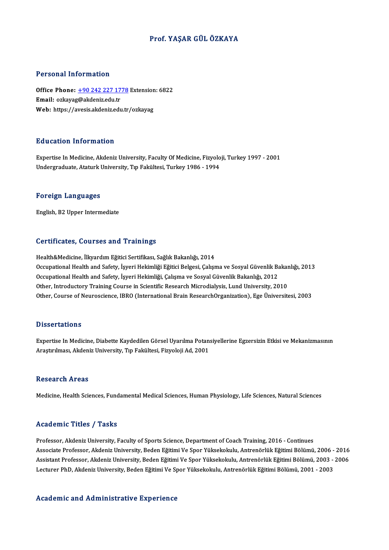### Prof. YAŞAR GÜLÖZKAYA

### Personal Information

Personal Information<br>Office Phone: <u>+90 242 227 1778</u> Extension: 6822<br>Email: erkauag@akdonizedu.tr 1 STOOMAT MISTMACION<br>Office Phone: <u>+90 242 227 17</u><br>Email: ozkayag[@akdeniz.edu.tr](tel:+90 242 227 1778) Office Phone: <u>+90 242 227 1778</u> Extension<br>Email: ozkayag@akdeniz.edu.tr<br>Web: https://avesis.akdeniz.edu.tr/ozkayag Web: https://avesis.akdeniz.edu.tr/ozkayag<br>Education Information

Expertise In Medicine, Akdeniz University, Faculty Of Medicine, Fizyoloji, Turkey 1997 - 2001 Undergraduate, Ataturk University, Tıp Fakültesi, Turkey 1986 - 1994

### Foreign Languages

English,B2Upper Intermediate

### Certificates, Courses and Trainings

Health&Medicine, İlkyardım Eğitici Sertifikası, Sağlık Bakanlığı, 2014 Oor enneateey Godrooo and Trammiye<br>Health&Medicine, İlkyardım Eğitici Sertifikası, Sağlık Bakanlığı, 2014<br>Occupational Health and Safety, İşyeri Hekimliği Eğitici Belgesi, Çalışma ve Sosyal Güvenlik Bakanlığı, 2013<br>Occupat Health&Medicine, İlkyardım Eğitici Sertifikası, Sağlık Bakanlığı, 2014<br>Occupational Health and Safety, İşyeri Hekimliği Eğitici Belgesi, Çalışma ve Sosyal Güvenlik Ba<br>Occupational Health and Safety, İşyeri Hekimliği, Çalış Occupational Health and Safety, İşyeri Hekimliği, Çalışma ve Sosyal Güvenlik Bakanlığı, 2012<br>Other, Introductory Training Course in Scientific Research Microdialysis, Lund University, 2010 Other, Course of Neuroscience, IBRO (International Brain ResearchOrganization), Ege Üniversitesi, 2003

### **Dissertations**

Dissertations<br>Expertise In Medicine, Diabette Kaydedilen Görsel Uyarılma Potansiyellerine Egzersizin Etkisi ve Mekanizmasının<br>Anastırılması, Akdaniz University, Tın Fakültesi, Firyaleji Ad. 2001 2 15561 tatron.<br>Expertise In Medicine, Diabette Kaydedilen Görsel Uyarılma Potan:<br>Araştırılması, Akdeniz University, Tıp Fakültesi, Fizyoloji Ad, 2001 Araştırılması, Akdeniz University, Tıp Fakültesi, Fizyoloji Ad, 2001<br>Research Areas

Medicine, Health Sciences, Fundamental Medical Sciences, Human Physiology, Life Sciences, Natural Sciences

### Academic Titles / Tasks

Professor, Akdeniz University, Faculty of Sports Science, Department of Coach Training, 2016 - Continues Associate Arses 7 Aasks<br>Professor, Akdeniz University, Faculty of Sports Science, Department of Coach Training, 2016 - Continues<br>Associate Professor, Akdeniz University, Beden Eğitimi Ve Spor Yüksekokulu, Antrenörlük Eğiti Professor, Akdeniz University, Faculty of Sports Science, Department of Coach Training, 2016 - Continues<br>Associate Professor, Akdeniz University, Beden Eğitimi Ve Spor Yüksekokulu, Antrenörlük Eğitimi Bölümü, 2006 - 2016<br>A Associate Professor, Akdeniz University, Beden Eğitimi Ve Spor Yüksekokulu, Antrenörlük Eğitimi Bölümü, 2006 -<br>Assistant Professor, Akdeniz University, Beden Eğitimi Ve Spor Yüksekokulu, Antrenörlük Eğitimi Bölümü, 2003 -<br> Lecturer PhD, Akdeniz University, Beden Eğitimi Ve Spor Yüksekokulu, Antrenörlük Eğitimi Bölümü, 2001 - 2003<br>Academic and Administrative Experience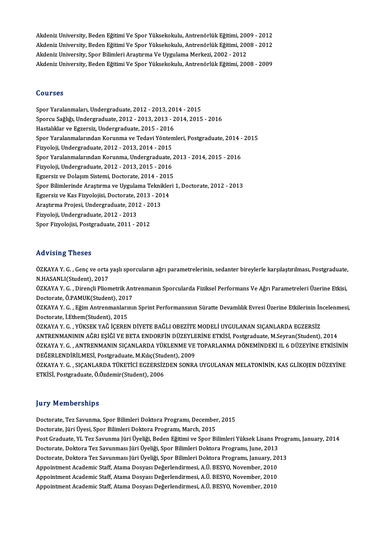Akdeniz University, Beden Eğitimi Ve Spor Yüksekokulu, Antrenörlük Eğitimi, 2009 - 2012<br>Akdeniz University, Beden Eğitimi Ve Spor Yüksekokulu, Antrenörlük Eğitimi, 2009 - 2012 Akdeniz University, Beden Eğitimi Ve Spor Yüksekokulu, Antrenörlük Eğitimi, 2009 - 2012<br>Akdeniz University, Beden Eğitimi Ve Spor Yüksekokulu, Antrenörlük Eğitimi, 2008 - 2012<br>Akdeniz University, Spor Bilimleri Arastrıma V Akdeniz University, Beden Eğitimi Ve Spor Yüksekokulu, Antrenörlük Eğitimi, 2004<br>Akdeniz University, Beden Eğitimi Ve Spor Yüksekokulu, Antrenörlük Eğitimi, 2004<br>Akdeniz University, Spor Bilimleri Araştırma Ve Uygulama Mer Akdeniz University, Beden Eğitimi Ve Spor Yüksekokulu, Antrenörlük Eğitimi, 2008 - 2012<br>Akdeniz University, Spor Bilimleri Araştırma Ve Uygulama Merkezi, 2002 - 2012<br>Akdeniz University, Beden Eğitimi Ve Spor Yüksekokulu, A

### Courses

Courses<br>Spor Yaralanmaları, Undergraduate, 2012 - 2013, 2014 - 2015<br>Sporgu Sağlığı, Undergraduate, 2012, 2012, 2012, 2014, 2015 Sporcu Sağlığı, Undergraduate, 2012 - 2013, 2013 - 2014, 2015 - 2016<br>Hastalıklar ve Egzersiz, Undergraduate, 2015 - 2016 Spor Yaralanmaları, Undergraduate, 2012 - 2013, 20<br>Sporcu Sağlığı, Undergraduate, 2012 - 2013, 2013 - 2<br>Hastalıklar ve Egzersiz, Undergraduate, 2015 - 2016<br>Spor Varalanmalarından Korunma ve Todovi Yöntem Sporcu Sağlığı, Undergraduate, 2012 - 2013, 2013 - 2014, 2015 - 2016<br>Hastalıklar ve Egzersiz, Undergraduate, 2015 - 2016<br>Spor Yaralanmalarından Korunma ve Tedavi Yöntemleri, Postgraduate, 2014 - 2015<br>Firvoloji, Undergradua Hastalıklar ve Egzersiz, Undergraduate, 2015 - 2016<br>Spor Yaralanmalarından Korunma ve Tedavi Yönten<br>Fizyoloji, Undergraduate, 2012 - 2013, 2014 - 2015<br>Spor Yaralanmalarından Korunma Undergraduate Spor Yaralanmalarından Korunma ve Tedavi Yöntemleri, Postgraduate, 2014 -<br>Fizyoloji, Undergraduate, 2012 - 2013, 2014 - 2015<br>Spor Yaralanmalarından Korunma, Undergraduate, 2013 - 2014, 2015 - 2016<br>Fizyoloji, Undergraduate, Fizyoloji, Undergraduate, 2012 - 2013, 2014 - 2015<br>Spor Yaralanmalarından Korunma, Undergraduate, ;<br>Fizyoloji, Undergraduate, 2012 - 2013, 2015 - 2016<br>Fazoreiz ve Doloem Sistemi, Dostorate, 2014, ...2015 Spor Yaralanmalarından Korunma, Undergraduate, 2<br>Fizyoloji, Undergraduate, 2012 - 2013, 2015 - 2016<br>Egzersiz ve Dolaşım Sistemi, Doctorate, 2014 - 2015<br>Spor Bilimlerinde Arestrume ve Uvgulame Telmikleri Fizyoloji, Undergraduate, 2012 - 2013, 2015 - 2016<br>Egzersiz ve Dolașım Sistemi, Doctorate, 2014 - 2015<br>Spor Bilimlerinde Araştırma ve Uygulama Teknikleri 1, Doctorate, 2012 - 2013<br>Egzersiz ve Kas Eizvelejisi, Doctorate, 20 Egzersiz ve Dolașim Sistemi, Doctorate, 2014 - 201!<br>Spor Bilimlerinde Araștirma ve Uygulama Teknikler<br>Egzersiz ve Kas Fizyolojisi, Doctorate, 2013 - 2014<br>Arastuma Praiasi, Underspeduate, 2012, 2012 Spor Bilimlerinde Araştırma ve Uygulama Tekni<br>Egzersiz ve Kas Fizyolojisi, Doctorate, 2013 - 20<br>Araştırma Projesi, Undergraduate, 2012 - 2013<br>Fizyoloji, Undergraduate, 2012 - 2013 Egzersiz ve Kas Fizyolojisi, Doctorate, 2013 - 2014<br>Araştırma Projesi, Undergraduate, 2012 - 2013<br>Fizyoloji, Undergraduate, 2012 - 2013 Spor Fizyolojisi, Postgraduate, 2011 - 2012

### Advising Theses

Advising Theses<br>ÖZKAYA Y. G. , Genç ve orta yaşlı sporcuların ağrı parametrelerinin, sedanter bireylerle karşılaştırılması, Postgraduate,<br>N.HASANI I(Student), 2017 nd vising i nesee<br>ÖZKAYA Y. G. , Genç ve orta<br>N.HASANLI(Student), 2017<br>ÖZKAYA Y. G. Dinancli Blian ÖZKAYA Y. G. , Genç ve orta yaşlı sporcuların ağrı parametrelerinin, sedanter bireylerle karşılaştırılması, Postgraduate,<br>N.HASANLI(Student), 2017<br>ÖZKAYA Y. G. , Dirençli Pliometrik Antrenmanın Sporcularda Fiziksel Perform

N.HASANLI(Student), 2017<br>ÖZKAYA Y. G. , Dirençli Pliometrik Ant<br>Doctorate, Ö.PAMUK(Student), 2017<br>ÖZKAYA Y. C. . Eğim Antronmanlarını ÖZKAYA Y. G. , Dirençli Pliometrik Antrenmanın Sporcularda Fiziksel Performans Ve Ağrı Parametreleri Üzerine Etkisi,<br>Doctorate, Ö.PAMUK(Student), 2017<br>ÖZKAYA Y. G. , Eğim Antrenmanlarının Sprint Performansının Süratte Deva

Doctorate, Ö.PAMUK(Student), 201<br>ÖZKAYA Y. G. , Eğim Antrenmanları<br>Doctorate, İ.Ethem(Student), 2015<br>ÖZKAYA Y. G. - VÜKSEK YAĞ İCEPEN ÖZKAYA Y. G. , Eğim Antrenmanlarının Sprint Performansının Süratte Devamlılık Evresi Üzerine Etkilerinin İn<br>Doctorate, İ.Ethem(Student), 2015<br>ÖZKAYA Y. G. , YÜKSEK YAĞ İÇEREN DİYETE BAĞLI OBEZİTE MODELİ UYGULANAN SIÇANLARD

Doctorate, İ.Ethem(Student), 2015<br>ÖZKAYA Y. G. , YÜKSEK YAĞ İÇEREN DİYETE BAĞLI OBEZİTE MODELİ UYGULANAN SIÇANLARDA EGZERSİZ<br>ANTRENMANININ AĞRI EŞİĞİ VE BETA ENDORFİN DÜZEYLERİNE ETKİSİ, Postgraduate, M.Seyran(Student), 20 ÖZKAYA Y. G. , YÜKSEK YAĞ İÇEREN DİYETE BAĞLI OBEZİTE MODELİ UYGULANAN SIÇANLARDA EGZERSİZ<br>ANTRENMANININ AĞRI EŞİĞİ VE BETA ENDORFİN DÜZEYLERİNE ETKİSİ, Postgraduate, M.Seyran(Student), 2014<br>ÖZKAYA Y. G. , ANTRENMANIN SIÇA ANTRENMANININ AĞRI EŞİĞİ VE BETA ENDORFİN DÜZEYLE<br>ÖZKAYA Y. G. , ANTRENMANIN SIÇANLARDA YÜKLENME VE<br>DEĞERLENDİRİLMESİ, Postgraduate, M.Kılıç(Student), 2009<br>ÖZKAYA Y. C. - SICANI ARDA TÜKETİCI ECZERSİZDEN SONRA ÖZKAYA Y. G. , ANTRENMANIN SIÇANLARDA YÜKLENME VE TOPARLANMA DÖNEMİNDEKİ IL 6 DÜZEYİNE ETKİSİNİN<br>DEĞERLENDİRİLMESİ, Postgraduate, M.Kılıç(Student), 2009<br>ÖZKAYA Y. G. , SIÇANLARDA TÜKETİCİ EGZERSİZDEN SONRA UYGULANAN MELATO

ETKİSİ,Postgraduate,Ö.Özdemir(Student),2006

### **Jury Memberships**

Doctorate, Tez Savunma, Spor Bilimleri Doktora Programı, December, 2015 Doctorate, Jüri Üyesi, Spor Bilimleri Doktora Programı, March, 2015 Post Graduate, YL Tez Savunma Jüri Üyeliği, Beden Eğitimi ve Spor Bilimleri Yüksek Lisans Programı, January, 2014 Doctorate, Jüri Üyesi, Spor Bilimleri Doktora Programı, March, 2015<br>Post Graduate, YL Tez Savunma Jüri Üyeliği, Beden Eğitimi ve Spor Bilimleri Yüksek Lisans Pr<br>Doctorate, Doktora Tez Savunması Jüri Üyeliği, Spor Bilimleri Post Graduate, YL Tez Savunma Jüri Üyeliği, Beden Eğitimi ve Spor Bilimleri Yüksek Lisans Progr<br>Doctorate, Doktora Tez Savunması Jüri Üyeliği, Spor Bilimleri Doktora Programı, June, 2013<br>Doctorate, Doktora Tez Savunması Jü Doctorate, Doktora Tez Savunması Jüri Üyeliği, Spor Bilimleri Doktora Programı, June, 2013<br>Doctorate, Doktora Tez Savunması Jüri Üyeliği, Spor Bilimleri Doktora Programı, January, 20<br>Appointment Academic Staff, Atama Dosya Doctorate, Doktora Tez Savunması Jüri Üyeliği, Spor Bilimleri Doktora Programı, January, 20<br>Appointment Academic Staff, Atama Dosyası Değerlendirmesi, A.Ü. BESYO, November, 2010<br>Appointment Academic Staff, Atama Dosyası De Appointment Academic Staff, Atama Dosyası Değerlendirmesi, A.Ü. BESYO, November, 2010<br>Appointment Academic Staff, Atama Dosyası Değerlendirmesi, A.Ü. BESYO, November, 2010<br>Appointment Academic Staff, Atama Dosyası Değerlen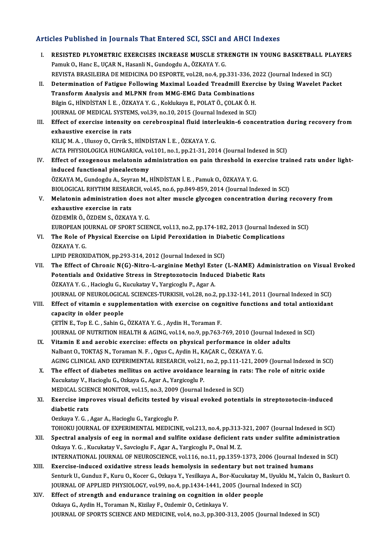### Articles Published in Journals That Entered SCI, SSCI and AHCI Indexes

I. RESISTED PLYOMETRIC EXERCISES INCREASE MUSCLE STRENGTH IN YOUNG BASKETBALL PLAYERS Pamuk O., Hanc E., UÇAR N., Hasanli N., Gundogdu A., ÖZKAYA Y. G. RESISTED PLYOMETRIC EXERCISES INCREASE MUSCLE STRENGTH IN YOUNG BASKETBALL PL.<br>Pamuk O., Hanc E., UÇAR N., Hasanli N., Gundogdu A., ÖZKAYA Y. G.<br>REVISTA BRASILEIRA DE MEDICINA DO ESPORTE, vol.28, no.4, pp.331-336, 2022 (Jo Pamuk O., Hanc E., UÇAR N., Hasanli N., Gundogdu A., ÖZKAYA Y. G.<br>REVISTA BRASILEIRA DE MEDICINA DO ESPORTE, vol.28, no.4, pp.331-336, 2022 (Journal Indexed in SCI)<br>II. Determination of Fatigue Following Maximal Loaded Tre REVISTA BRASILEIRA DE MEDICINA DO ESPORTE, vol.28, no.4, pp.331-336, 2<br>Determination of Fatigue Following Maximal Loaded Treadmill Exert<br>Transform Analysis and MLPNN from MMG-EMG Data Combinations<br>Bikin C. Hinpistan L.E., Determination of Fatigue Following Maximal Loaded Treadmill Exercy<br>Transform Analysis and MLPNN from MMG-EMG Data Combinations<br>Bilgin G., HİNDİSTAN İ. E. , ÖZKAYA Y. G. , Koklukaya E., POLAT Ö., ÇOLAK Ö. H.<br>JOUPNAL OF MEDI Transform Analysis and MLPNN from MMG-EMG Data Combinations<br>Bilgin G., HİNDİSTAN İ. E. , ÖZKAYA Y. G. , Koklukaya E., POLAT Ö., ÇOLAK Ö. H.<br>JOURNAL OF MEDICAL SYSTEMS, vol.39, no.10, 2015 (Journal Indexed in SCI)<br>Fffect of Bilgin G., HİNDİSTAN İ. E. , ÖZKAYA Y. G. , Koklukaya E., POLAT Ö., ÇOLAK Ö. H.<br>JOURNAL OF MEDICAL SYSTEMS, vol.39, no.10, 2015 (Journal Indexed in SCI)<br>III. Effect of exercise intensity on cerebrospinal fluid interleukin-JOURNAL OF MEDICAL SYSTEMS, vol.39, no.10, 2015 (Journal Indexed in SCI)<br>Effect of exercise intensity on cerebrospinal fluid interleukin-6 concernative exercise in rats<br>KILIC M. A., Ulusov O., Cirrik S., HINDISTAN I. E., Ö Effect of exercise intensity on cerebrospinal fluid inter<br>exhaustive exercise in rats<br>KILIÇM.A., Ulusoy O., Cirrik S., HİNDİSTAN İ. E. , ÖZKAYA Y. G.<br>ACTA PHYSIQLOCICA HINCAPICA yol 101 no 1 np 31 31 301 ACTA PHYSIOLOGICA HUNGARICA, vol.101, no.1, pp.21-31, 2014 (Journal Indexed in SCI) KILIÇ M. A. , Ulusoy O., Cirrik S., HİNDİSTAN İ. E. , ÖZKAYA Y. G.<br>ACTA PHYSIOLOGICA HUNGARICA, vol.101, no.1, pp.21-31, 2014 (Journal Indexed in SCI)<br>IV. Effect of exogenous melatonin administration on pain threshold in e ACTA PHYSIOLOGICA HUNGARICA, vo<br>Effect of exogenous melatonin ad<br>induced functional pinealectomy<br>ÖZKAVA M. Cundordu A. Souran M. L Effect of exogenous melatonin administration on pain threshold in exional pinealectomy<br>induced functional pinealectomy<br>ÖZKAYA M., Gundogdu A., Seyran M., HİNDİSTAN İ. E. , Pamuk O., ÖZKAYA Y. G.<br>PIOLOGICAL PUVTUM PESEARCH induced functional pinealectomy<br>ÖZKAYA M., Gundogdu A., Seyran M., HİNDİSTAN İ. E. , Pamuk O., ÖZKAYA Y. G.<br>BIOLOGICAL RHYTHM RESEARCH, vol.45, no.6, pp.849-859, 2014 (Journal Indexed in SCI)<br>Melatonin administration does ÖZKAYA M., Gundogdu A., Seyran M., HİNDİSTAN İ. E. , Pamuk O., ÖZKAYA Y. G.<br>BIOLOGICAL RHYTHM RESEARCH, vol.45, no.6, pp.849-859, 2014 (Journal Indexed in SCI)<br>V. Melatonin administration does not alter muscle glycogen con BIOLOGICAL RHYTHM RESEAR<br>Melatonin administration d<br>exhaustive exercise in rats<br>ÖZDEMIP Ö ÖZDEM S ÖZKAV Melatonin administration does no<br>exhaustive exercise in rats<br>ÖZDEMİR Ö., ÖZDEM S., ÖZKAYA Y. G.<br>EUROPEAN JOUPNAL OF SPOPT SCIEL exhaustive exercise in rats<br>ÖZDEMİR Ö., ÖZDEM S., ÖZKAYA Y. G.<br>EUROPEAN JOURNAL OF SPORT SCIENCE, vol.13, no.2, pp.174-182, 2013 (Journal Indexed in SCI)<br>The Bole of Physical Exercise on Linid Benevidation in Diebetis Comp ÖZDEMİR Ö., ÖZDEM S., ÖZKAYA Y. G.<br>EUROPEAN JOURNAL OF SPORT SCIENCE, vol.13, no.2, pp.174-182, 2013 (Journal Indexe<br>VI. The Role of Physical Exercise on Lipid Peroxidation in Diabetic Complications<br>ÖZKAYA Y. G. EUROPEAN JONE<br>The Role of<br>ÖZKAYA Y. G. LIPID PEROXIDATION, pp.293-314, 2012 (Journal Indexed in SCI) VII. The Effect of Chronic N(G)-Nitro-L-arginine Methyl Ester (L-NAME) Administration on Visual Evoked LIPID PEROXIDATION, pp.293-314, 2012 (Journal Indexed in SCI)<br>The Effect of Chronic N(G)-Nitro-L-arginine Methyl Ester (L-NAME) Adm<br>Potentials and Oxidative Stress in Streptozotocin Induced Diabetic Rats<br>ÖZKAVA V.C., Hesis The Effect of Chronic N(G)-Nitro-L-arginine Methyl Est<br>Potentials and Oxidative Stress in Streptozotocin Induc<br>ÖZKAYA Y. G., Hacioglu G., Kucukatay V., Yargicoglu P., Agar A.<br>JOUPNAL OF NEUPOLOCICAL SCIENCES TURKISH vel 39 ÖZKAYA Y. G. , Hacioglu G., Kucukatay V., Yargicoglu P., Agar A.<br>JOURNAL OF NEUROLOGICAL SCIENCES-TURKISH, vol.28, no.2, pp.132-141, 2011 (Journal Indexed in SCI) ÖZKAYA Y. G. , Hacioglu G., Kucukatay V., Yargicoglu P., Agar A.<br>JOURNAL OF NEUROLOGICAL SCIENCES-TURKISH, vol.28, no.2, pp.132-141, 2011 (Journal Indexed in SCI)<br>VIII. Effect of vitamin e supplementation with exercise on JOURNAL OF NEUROLOGICA<br>Effect of vitamin e supple<br>capacity in older people<br>CETINE TOBE C. SobinG Effect of vitamin e supplementation with exercise on cog.<br>capacity in older people<br>CETİN E., Top E. C. , Sahin G., ÖZKAYA Y. G. , Aydin H., Toraman F.<br>JOUPMAL OF NUTPLTION HEALTH & ACINC vol 14, no 9, nn 762. capacity in older people<br>ÇETİN E., Top E. C. , Sahin G., ÖZKAYA Y. G. , Aydin H., Toraman F.<br>JOURNAL OF NUTRITION HEALTH & AGING, vol.14, no.9, pp.763-769, 2010 (Journal Indexed in SCI) CETIN E., Top E. C., Sahin G., ÖZKAYA Y. G., Aydin H., Toraman F.<br>JOURNAL OF NUTRITION HEALTH & AGING, vol.14, no.9, pp.763-769, 2010 (Journal Indexe<br>IX. Vitamin E and aerobic exercise: effects on physical performance in o JOURNAL OF NUTRITION HEALTH & AGING, vol.14, no.9, pp.763-769, 2010 (Journal Vitamin E and aerobic exercise: effects on physical performance in old Nalbant O., TOKTAŞ N., Toraman N. F. , Ogus C., Aydin H., KAÇAR C., ÖZKAYA Vitamin E and aerobic exercise: effects on physical performance in older adults<br>Nalbant O., TOKTAŞ N., Toraman N. F. , Ogus C., Aydin H., KAÇAR C., ÖZKAYA Y. G.<br>AGING CLINICAL AND EXPERIMENTAL RESEARCH, vol.21, no.2, pp.11 Nalbant O., TOKTAŞ N., Toraman N. F., Ogus C., Aydin H., KAÇAR C., ÖZKAYA Y. G.<br>AGING CLINICAL AND EXPERIMENTAL RESEARCH, vol.21, no.2, pp.111-121, 2009 (Journal Indexed in St.<br>X. The effect of diabetes mellitus on active AGING CLINICAL AND EXPERIMENTAL RESEARCH, vol.21,<br>The effect of diabetes mellitus on active avoidance<br>Kucukatay V., Hacioglu G., Ozkaya G., Agar A., Yargicoglu P.<br>MEDICAL SCIENCE MONITOP, vol.15, no.2, 2000 (Journal I The effect of diabetes mellitus on active avoidance learning in ra<br>Kucukatay V., Hacioglu G., Ozkaya G., Agar A., Yargicoglu P.<br>MEDICAL SCIENCE MONITOR, vol.15, no.3, 2009 (Journal Indexed in SCI)<br>Exensise improves vieual Kucukatay V., Hacioglu G., Ozkaya G., Agar A., Yargicoglu P.<br>MEDICAL SCIENCE MONITOR, vol.15, no.3, 2009 (Journal Indexed in SCI)<br>XI. Exercise improves visual deficits tested by visual evoked potentials in streptozotoc MEDICAL SCIE<br>Exercise imp<br>diabetic rats<br>Osskup Y C OezkayaY.G. ,AgarA.,HaciogluG.,YargicogluP. diabetic rats<br>Oezkaya Y. G. , Agar A., Hacioglu G., Yargicoglu P.<br>TOHOKU JOURNAL OF EXPERIMENTAL MEDICINE, vol.213, no.4, pp.313-321, 2007 (Journal Indexed in SCI)<br>Spectral analysis of ees in normal and sulfite exidese def Oezkaya Y. G. , Agar A., Hacioglu G., Yargicoglu P.<br>TOHOKU JOURNAL OF EXPERIMENTAL MEDICINE, vol.213, no.4, pp.313-321, 2007 (Journal Indexed in SCI)<br>XII. Spectral analysis of eeg in normal and sulfite oxidase deficient ra TOHOKU JOURNAL OF EXPERIMENTAL MEDICINE, vol.213, no.4, pp.313-<br>Spectral analysis of eeg in normal and sulfite oxidase deficient i<br>Ozkaya Y. G. , Kucukatay V., Savcioglu F., Agar A., Yargicoglu P., Onal M. Z.<br>INTERNATIONAL Spectral analysis of eeg in normal and sulfite oxidase deficient rats under sulfite administration<br>Ozkaya Y. G. , Kucukatay V., Savcioglu F., Agar A., Yargicoglu P., Onal M. Z.<br>INTERNATIONAL JOURNAL OF NEUROSCIENCE, vol.11 Ozkaya Y. G., Kucukatay V., Savcioglu F., Agar A., Yargicoglu P., Onal M. Z.<br>INTERNATIONAL JOURNAL OF NEUROSCIENCE, vol.116, no.11, pp.1359-1373, 2006 (Journal Indexe<br>XIII. Exercise-induced oxidative stress leads hemolysis INTERNATIONAL JOURNAL OF NEUROSCIENCE, vol.116, no.11, pp.1359-1373, 2006 (Journal Indexed in SCI)<br>Exercise-induced oxidative stress leads hemolysis in sedentary but not trained humans<br>Senturk U., Gunduz F., Kuru O., Kocer Exercise-induced oxidative stress leads hemolysis in sedentary but not trained hum<br>Senturk U., Gunduz F., Kuru O., Kocer G., Ozkaya Y., Yesilkaya A., Bor-Kucukatay M., Uyuklu M., Ya<br>JOURNAL OF APPLIED PHYSIOLOGY, vol.99, n Senturk U., Gunduz F., Kuru O., Kocer G., Ozkaya Y., Yesilkaya A., Bor-Kucukatay M<br>JOURNAL OF APPLIED PHYSIOLOGY, vol.99, no.4, pp.1434-1441, 2005 (Journal In<br>XIV. Effect of strength and endurance training on cognition in JOURNAL OF APPLIED PHYSIOLOGY, vol.99, no.4, pp.1434-1441, 2005 (Journal Indexed in SCI)<br>Effect of strength and endurance training on cognition in older people<br>Ozkaya G., Aydin H., Toraman N., Kizilay F., Ozdemir O., Cetin

JOURNAL OF SPORTS SCIENCE AND MEDICINE, vol.4, no.3, pp.300-313, 2005 (Journal Indexed in SCI)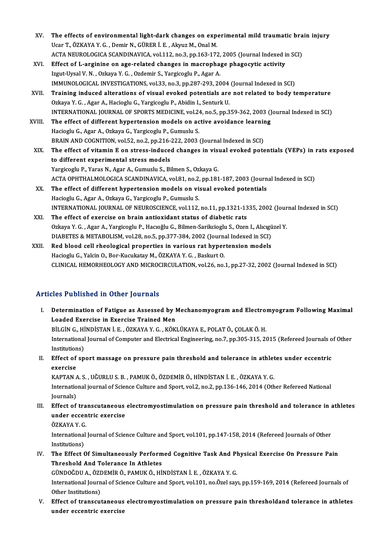| XV.    | The effects of environmental light-dark changes on experimental mild traumatic brain injury          |
|--------|------------------------------------------------------------------------------------------------------|
|        | Ucar T., ÖZKAYA Y. G., Demir N., GÜRER İ. E., Akyuz M., Onal M.                                      |
|        | ACTA NEUROLOGICA SCANDINAVICA, vol.112, no.3, pp.163-172, 2005 (Journal Indexed in SCI)              |
| XVI.   | Effect of L-arginine on age-related changes in macrophage phagocytic activity                        |
|        | Izgut-Uysal V. N., Ozkaya Y. G., Ozdemir S., Yargicoglu P., Agar A.                                  |
|        | IMMUNOLOGICAL INVESTIGATIONS, vol.33, no.3, pp.287-293, 2004 (Journal Indexed in SCI)                |
| XVII.  | Training induced alterations of visual evoked potentials are not related to body temperature         |
|        | Ozkaya Y. G., Agar A., Hacioglu G., Yargicoglu P., Abidin I., Senturk U.                             |
|        | INTERNATIONAL JOURNAL OF SPORTS MEDICINE, vol.24, no.5, pp.359-362, 2003 (Journal Indexed in SCI)    |
| XVIII. | The effect of different hypertension models on active avoidance learning                             |
|        | Hacioglu G., Agar A., Ozkaya G., Yargicoglu P., Gumuslu S.                                           |
|        | BRAIN AND COGNITION, vol.52, no.2, pp.216-222, 2003 (Journal Indexed in SCI)                         |
| XIX.   | The effect of vitamin E on stress-induced changes in visual evoked potentials (VEPs) in rats exposed |
|        | to different experimental stress models                                                              |
|        | Yargicoglu P., Yaras N., Agar A., Gumuslu S., Bilmen S., Ozkaya G.                                   |
|        | ACTA OPHTHALMOLOGICA SCANDINAVICA, vol.81, no.2, pp.181-187, 2003 (Journal Indexed in SCI)           |
| XX.    | The effect of different hypertension models on visual evoked potentials                              |
|        | Hacioglu G., Agar A., Ozkaya G., Yargicoglu P., Gumuslu S.                                           |
|        | INTERNATIONAL JOURNAL OF NEUROSCIENCE, vol.112, no.11, pp.1321-1335, 2002 (Journal Indexed in SCI)   |
| XXI.   | The effect of exercise on brain antioxidant status of diabetic rats                                  |
|        | Ozkaya Y. G., Agar A., Yargicoglu P., Hacıoğlu G., Bilmen-Sarikcioglu S., Ozen I., Alıcıgüzel Y.     |
|        | DIABETES & METABOLISM, vol.28, no.5, pp.377-384, 2002 (Journal Indexed in SCI)                       |
| XXII.  | Red blood cell rheological properties in various rat hypertension models                             |
|        | Hacioglu G., Yalcin O., Bor-Kucukatay M., ÖZKAYA Y. G., Baskurt O.                                   |
|        | CLINICAL HEMORHEOLOGY AND MICROCIRCULATION, vol.26, no.1, pp.27-32, 2002 (Journal Indexed in SCI)    |
|        |                                                                                                      |

### Articles Published in Other Journals

- rticles Published in Other Journals<br>I. Determination of Fatigue as Assessed by Mechanomyogram and Electromyogram Following Maximal<br>Loaded Francise in Evensiae Trained Man Loaded Exercise in Exercise as Assessed by I<br>Loaded Exercise in Exercise Trained Men<br>PUCING HINDISTANIE OZEANA V.G. KÖV Determination of Fatigue as Assessed by Mechanomyogram and Electro:<br>Loaded Exercise in Exercise Trained Men<br>BİLGİN G., HİNDİSTAN İ. E. , ÖZKAYA Y. G. , KÖKLÜKAYA E., POLAT Ö., ÇOLAK Ö. H.<br>International Journal of Computer Loaded Exercise in Exercise Trained Men<br>BİLGİN G., HİNDİSTAN İ. E. , ÖZKAYA Y. G. , KÖKLÜKAYA E., POLAT Ö., ÇOLAK Ö. H.<br>International Journal of Computer and Electrical Engineering, no.7, pp.305-315, 2015 (Refereed Journal BİLGİN G., HİNDİSTAN İ. E. , ÖZKAYA Y. G. , KÖKLÜKAYA E., POLAT Ö., ÇOLAK Ö. H.<br>International Journal of Computer and Electrical Engineering, no.7, pp.305-315, 20<br>Institutions) International Journal of Computer and Electrical Engineering, no.7, pp.305-315, 2015 (Refereed Journals of Institutions)<br>II. Effect of sport massage on pressure pain threshold and tolerance in athletes under eccentric<br>Suca
- Institution<br>Effect of<br>exercise<br>KAPTAN Effect of sport massage on pressure pain threshold and tolerance in athlet<br>exercise<br>KAPTAN A. S. , UĞURLU S. B. , PAMUK Ö., ÖZDEMİR Ö., HİNDİSTAN İ. E. , ÖZKAYA Y. G.<br>International journal of Science Culture and Sport vol

exercise<br>KAPTAN A. S. , UĞURLU S. B. , PAMUK Ö., ÖZDEMİR Ö., HİNDİSTAN İ. E. , ÖZKAYA Y. G.<br>International journal of Science Culture and Sport, vol.2, no.2, pp.136-146, 2014 (Other Refereed National<br>Journals) KAPTAN A. S., UĞURLU S. B., PAMUK Ö., ÖZDEMİR Ö., HİNDİSTAN İ. E., ÖZKAYA Y. G. International journal of Science Culture and Sport, vol.2, no.2, pp.136-146, 2014 (Other Refereed National<br>Journals)<br>III. Effect of transcutaneous electromyostimulation on pressure pain threshold and tolerance in athletes<br>

- Journals)<br>Effect of transcutaneous<br>under eccentric exercise<br>Ö7KAVA V C Effect of tra<br>under eccen<br>ÖZKAYA Y. G.<br>International
	-

under eccentric exercise<br>ÖZKAYA Y. G.<br>International Journal of Science Culture and Sport, vol.101, pp.147-158, 2014 (Refereed Journals of Other ÖZKAYA Y. G<br>International<br>Institutions)<br>The Effect ( International Journal of Science Culture and Sport, vol.101, pp.147-158, 2014 (Refereed Journals of Other<br>Institutions)<br>IV. The Effect Of Simultaneously Performed Cognitive Task And Physical Exercise On Pressure Pain<br>Thres

Institutions)<br>The Effect Of Simultaneously Perform<br>Threshold And Tolerance In Athletes<br>CÜNDOČDU A ÖZDEMİR Ö RAMIK Ö Hİ The Effect Of Simultaneously Performed Cognitive Task And Pl<br>Threshold And Tolerance In Athletes<br>GÜNDOĞDU A., ÖZDEMİR Ö., PAMUK Ö., HİNDİSTAN İ. E. , ÖZKAYA Y. G.<br>International Journal of Science Gulture and Sport, val 101

Threshold And Tolerance In Athletes<br>GÜNDOĞDU A., ÖZDEMİR Ö., PAMUK Ö., HİNDİSTAN İ. E. , ÖZKAYA Y. G.<br>International Journal of Science Culture and Sport, vol.101, no.Özel sayı, pp.159-169, 2014 (Refereed Journals of<br>Other GÜNDOĞDU A., ÖZI<br>International Journ<br>Other Institutions)<br>Effect of transcut International Journal of Science Culture and Sport, vol.101, no.Özel sayı, pp.159-169, 2014 (Refereed Journals of<br>Other Institutions)<br>V. Effect of transcutaneous electromyostimulation on pressure pain thresholdand toleranc

Other Institutions)<br>V. Effect of transcutaneous electromyostimulation on pressure pain thresholdand tolerance in athletes<br>under eccentric exercise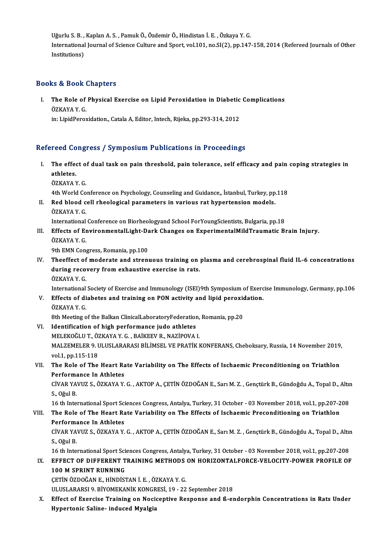Uğurlu S. B. , Kaplan A. S. , Pamuk Ö., Özdemir Ö., Hindistan İ. E. , Özkaya Y. G.<br>International Jaurnal of Science Gulture and Sport, val 101 no SI(3), pp 147 International Journal of Science Culture and Sport, vol.101, no.SI(2), pp.147-158, 2014 (Refereed Journals of Other<br>Institutions) Uğurlu S. B. ,<br>International<br>Institutions)

### Books&Book Chapters

ooks & Book Chapters<br>I. The Role of Physical Exercise on Lipid Peroxidation in Diabetic Complications<br>ÖZKAVA Y.C E & DOOR<br>The Role of<br>ÖZKAYA Y. G.<br>in: UnidPeres The Role of Physical Exercise on Lipid Peroxidation in Diabetic<br>ÖZKAYA Y. G.<br>in: LipidPeroxidation., Catala A, Editor, Intech, Rijeka, pp.293-314, 2012

# in: LipidPeroxidation., Catala A, Editor, Intech, Rijeka, pp.293-314, 2012<br>Refereed Congress / Symposium Publications in Proceedings

- efereed Congress / Symposium Publications in Proceedings<br>I. The effect of dual task on pain threshold, pain tolerance, self efficacy and pain coping strategies in The effer<br>The effer<br>ÖZVAVA N The effect o<br>athletes.<br>ÖZKAYA Y. G. athletes.<br>ÖZKAYA Y. G.<br>4th World Conference on Psychology, Counseling and Guidance,, İstanbul, Turkey, pp.118<br>Red bleed sell rheelesisel neremetere in veriewe ret bynertensier medele
	-
- ÖZKAYA Y. G.<br>4th World Conference on Psychology, Counseling and Guidance,, İstanbul, Turkey, pp<br>II. Red blood cell rheological parameters in various rat hypertension models.<br>ÖZKAYA V. C 4th World Co<br>Red blood c<br>ÖZKAYA Y. G.<br>International Red blood cell rheological parameters in various rat hypertension models.<br>ÖZKAYA Y. G.<br>International Conference on Biorheologyand School ForYoungScientists, Bulgaria, pp.18<br>Effects of Environmentall isht Dark Changes on Ex

ÖZKAYA Y. G.<br>International Conference on Biorheologyand School ForYoungScientists, Bulgaria, pp.18<br>III. Effects of EnvironmentalLight-Dark Changes on ExperimentalMildTraumatic Brain Injury.<br>ÖZKAYA V. C International<br>Effects of En<br>ÖZKAYA Y. G.<br><sup>Oth EMN</sup> Con Effects of EnvironmentalLight-Da<br>ÖZKAYA Y. G.<br>9th EMN Congress, Romania, pp.100<br>Theoffect of moderate and strep:

ÖZKAYA Y. G.<br>9th EMN Congress, Romania, pp.100<br>IV. Theeffect of moderate and strenuous training on plasma and cerebrospinal fluid IL-6 concentrations<br>during recovery from exhaustive exercise in rats 9th EMN Congress, Romania, pp.100<br>Theeffect of moderate and strenuous training on<br>during recovery from exhaustive exercise in rats.<br>ÖZKAVA V.C Theeffect of<br>during reco<br>ÖZKAYA Y. G.<br>International during recovery from exhaustive exercise in rats.<br>ÖZKAYA Y. G.<br>International Society of Exercise and Immunology (ISEI)9th Symposium of Exercise Immunology, Germany, pp.106

ÖZKAYA Y. G.<br>International Society of Exercise and Immunology (ISEI)9th Symposium of Exerc<br>V. Effects of diabetes and training on PON activity and lipid peroxidation.<br>ÖZKAYA V. G. International<br>Effects of di<br>ÖZKAYA Y. G.<br><sup>9th Mosting o</sup> Effects of diabetes and training on PON activity and lipid peroxic<br>ÖZKAYA Y. G.<br>8th Meeting of the Balkan ClinicalLaboratoryFederation, Romania, pp.20<br>Identification of high performance iude athletes

8th Meeting of the Balkan ClinicalLaboratoryFederation, Romania, pp.20

- ÖZKAYA Y. G.<br>8th Meeting of the Balkan ClinicalLaboratoryFederation,<br>VI. Identification of high performance judo athletes<br>MELEKOĞLU T., ÖZKAYA Y. G., BAİKEEV R., NAZİPOVA I. Identification of high performance judo athletes<br>MELEKOĞLU T., ÖZKAYA Y. G. , BAİKEEV R., NAZİPOVA I.<br>MALZEMELER 9. ULUSLARARASI BİLİMSEL VE PRATİK KONFERANS, Cheboksary, Russia, 14 November 2019,<br>vol.1. pp.115-119 MELEKOĞLU T., Ö.<br>MALZEMELER 9. l<br>vol.1, pp.115-118<br>The Pole of The MALZEMELER 9. ULUSLARARASI BILIMSEL VE PRATIK KONFERANS, Cheboksary, Russia, 14 November 2019,<br>vol.1, pp.115-118<br>VII. The Role of The Heart Rate Variability on The Effects of Ischaemic Preconditioning on Triathlon<br>Performa
- vol.1, pp.115-118<br>The Role of The Heart Ra<br>Performance In Athletes<br>CivAP YAVUZ S. ÖZKAVA V The Role of The Heart Rate Variability on The Effects of Ischaemic Preconditioning on Triathlon<br>Performance In Athletes<br>CİVAR YAVUZ S., ÖZKAYA Y. G. , AKTOP A., ÇETİN ÖZDOĞAN E., Sarı M. Z. , Gençtürk B., Gündoğdu A., Topa

Performance In Athletes<br>CİVAR YAVUZ S., ÖZKAYA Y. G. , AKTOP A., ÇETİN ÖZDOĞAN E., Sarı M. Z. , Gençtürk B., Gündoğdu A., Topal D., Altın<br>S., Oğul B. CİVAR YAVUZ S., ÖZKAYA Y. G. , AKTOP A., ÇETİN ÖZDOĞAN E., Sarı M. Z. , Gençtürk B., Gündoğdu A., Topal D., Altım<br>S., Oğul B.<br>16 th International Sport Sciences Congress, Antalya, Turkey, 31 October - 03 November 2018, vol

# S., Oğul B.<br>16 th International Sport Sciences Congress, Antalya, Turkey, 31 October - 03 November 2018, vol.1, pp.207-2<br>20 VIII. The Role of The Heart Rate Variability on The Effects of Ischaemic Preconditioning on Tr 16 th International Sport Sci<br>The Role of The Heart Ra<br>Performance In Athletes<br>CivAP VAVUZ S. ÖZKAVA V The Role of The Heart Rate Variability on The Effects of Ischaemic Preconditioning on Triathlon<br>Performance In Athletes<br>CİVAR YAVUZ S., ÖZKAYA Y. G. , AKTOP A., ÇETİN ÖZDOĞAN E., Sarı M. Z. , Gençtürk B., Gündoğdu A., Topa

Performa<br>CİVAR YA<br>S., Oğul B.<br>16 th Inte CİVAR YAVUZ S., ÖZKAYA Y. G. , AKTOP A., ÇETİN ÖZDOĞAN E., Sarı M. Z. , Gençtürk B., Gündoğdu A., Topal D., Altı<br>S., Oğul B.<br>16 th International Sport Sciences Congress, Antalya, Turkey, 31 October - 03 November 2018, vol.

## S., Oğul B.<br>16 th International Sport Sciences Congress, Antalya, Turkey, 31 October - 03 November 2018, vol.1, pp.207-208<br>IX. EFFECT OF DIFFERENT TRAINING METHODS ON HORIZONTALFORCE-VELOCITY-POWER PROFILE OF 16 th International Sport Sci<br>EFFECT OF DIFFERENT T<br>100 M SPRINT RUNNING<br>CETIN ÖZDOČAN E LUNDIST EFFECT OF DIFFERENT TRAINING METHODS<br>100 M SPRINT RUNNING<br>ÇETİN ÖZDOĞAN E., HİNDİSTAN İ. E. , ÖZKAYA Y. G.<br>111 HSLARARSLO, RİYOMEKANİK KONCRESİ 10, 22 100 M SPRINT RUNNING<br>ÇETİN ÖZDOĞAN E., HİNDİSTAN İ. E. , ÖZKAYA Y. G.<br>ULUSLARARSI 9. BİYOMEKANİK KONGRESİ, 19 - 22 September 2018<br>Effect of Exensise Training en Nesisentiye Bespense and & ex

CETIN ÖZDOĞAN E., HINDISTAN İ. E. , ÖZKAYA Y. G.<br>ULUSLARARSI 9. BIYOMEKANIK KONGRESI, 19 - 22 September 2018<br>X. Effect of Exercise Training on Nociceptive Response and ß-endorphin Concentrations in Rats Under<br>Hypertonic Sa ULUSLARARSI 9. BİYOMEKANİK KONGR<br>Effect of Exercise Training on Noci<br>Hypertonic Saline- induced Myalgia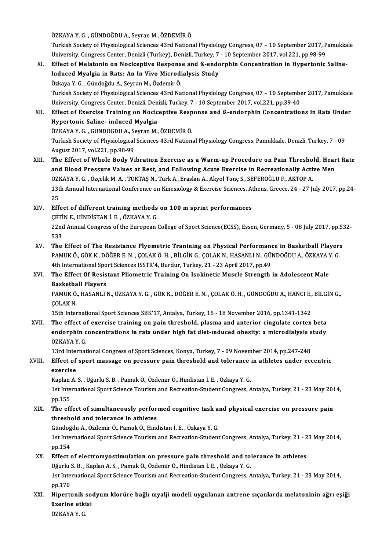ÖZKAYAY.G. ,GÜNDOĞDUA.,SeyranM.,ÖZDEMİRÖ.

ÖZKAYA Y. G. , GÜNDOĞDU A., Seyran M., ÖZDEMİR Ö.<br>Turkish Society of Physiological Sciences 43rd National Physiology Congress, 07 – 10 September 2017, Pamukkale<br>University Congress Contar, Danizli (Turkay), Danizli Turkay ÖZKAYA Y. G. , GÜNDOĞDU A., Seyran M., ÖZDEMİR Ö.<br>Turkish Society of Physiological Sciences 43rd National Physiology Congress, 07 – 10 September 2017, P<br>University, Congress Center, Denizli (Turkey), Denizli, Turkey, 7 - 1 Turkish Society of Physiological Sciences 43rd National Physiology Congress, 07 – 10 September 2017, Pamukka<br>University, Congress Center, Denizli (Turkey), Denizli, Turkey, 7 - 10 September 2017, vol.221, pp.98-99<br>XI. Effe

- University, Congress Center, Denizli (Turkey), Denizli, Turkey, 7 10 September 2017, vol.221, pp.98-99<br>Effect of Melatonin on Nociceptive Response and ß-endorphin Concentration in Hypertonic<br>Induced Myalgia in Rats: An I Effect of Melatonin on Nociceptive Respons<br>Induced Myalgia in Rats: An In Vivo Microdi<br>Özkaya Y. G., Gündoğdu A., Seyran M., Özdemir Ö.<br>Turkich Sosiaty of Physiologisal Ssianses 43rd Na I<mark>nduced Myalgia in Rats: An In Vivo Microdialysis Study</mark><br>Özkaya Y. G. , Gündoğdu A., Seyran M., Özdemir Ö.<br>Turkish Society of Physiological Sciences 43rd National Physiology Congress, 07 – 10 September 2017, Pamukkale<br>Uni Özkaya Y. G. , Gündoğdu A., Seyran M., Özdemir Ö.<br>Turkish Society of Physiological Sciences 43rd National Physiology Congress, 07 – 10 September 2017, vol.<br>University, Congress Center, Denizli, Denizli, Turkey, 7 - 10 Sept Turkish Society of Physiological Sciences 43rd National Physiology Congress, 07 – 10 September 2017, Pamukkale<br>University, Congress Center, Denizli, Denizli, Turkey, 7 - 10 September 2017, vol.221, pp.39-40<br>XII. Effect of
- University, Congress Center, Denizli, Den<br>Effect of Exercise Training on Nocic<br>Hypertonic Saline- induced Myalgia<br>ÖZKAVA V.C., CUNDOCDU A, Seyran M Effect of Exercise Training on Nociceptive Resp<br>Hypertonic Saline- induced Myalgia<br>ÖZKAYA Y. G. , GUNDOGDU A., Seyran M., ÖZDEMİR Ö.<br>Turkish Sosisty of Physiological Sciences 42rd Nation. Hypertonic Saline- induced Myalgia<br>ÖZKAYA Y. G. , GUNDOGDU A., Seyran M., ÖZDEMİR Ö.<br>Turkish Society of Physiological Sciences 43rd National Physiology Congress, Pamukkale, Denizli, Turkey, 7 - 09<br>August 2017, vol.221, pp. ÖZKAYA Y G , GUNDOGDU A , Seyran M , ÖZDEMİR Ö Turkish Society of Physiological Sciences 43rd National Physiology Congress, Pamukkale, Denizli, Turkey, 7 - 09<br>August 2017, vol.221, pp.98-99<br>XIII. The Effect of Whole Body Vibration Exercise as a Warm-up Procedure on Pai
- August 2017, vol.221, pp.98-99<br>The Effect of Whole Body Vibration Exercise as a Warm-up Procedure on Pain Threshold, Hear<br>and Blood Pressure Values at Rest, and Following Acute Exercise in Recreationally Active Men<br>ÖZKAVA The Effect of Whole Body Vibration Exercise as a Warm-up Procedure on Pain Thresho<br>and Blood Pressure Values at Rest, and Following Acute Exercise in Recreationally Acti<br>ÖZKAYA Y. G. , Özçelik M. A. , TOKTAŞ N., Türk A., E and Blood Pressure Values at Rest, and Following Acute Exercise in Recreationally Active Men<br>ÖZKAYA Y. G. , Özçelik M. A. , TOKTAŞ N., Türk A., Eraslan A., Akyol Tunç S., SEFEROĞLU F., AKTOP A.<br>13th Annual International Co ÖZKAYA Y. G., Özçelik M. A., TOKTAŞ N., Türk A., Eraslan A., Akyol Tunç S., SEFEROĞLU F., AKTOP A. 13th Annual International Conference on Kinesiology & Exercise Sciences, At<br>25<br>XIV. Effect of different training methods on 100 m sprint performances<br>CETIN E HINDISTAN LE ÖZVAVA Y C

## 25<br>Effect of different training methods<br>ÇETİN E., HİNDİSTAN İ. E. , ÖZKAYA Y. G.<br>22nd Annual Congress of the European ÇETİN E, HİNDİSTAN İ. E., ÖZKAYA Y. G.

22nd Annual Congress of the European College of Sport Science(ECSS), Essen, Germany, 5 - 08 July 2017, pp.532-<br>533 22nd Annual Congress of the European College of Sport Science (ECSS), Essen, Germany, 5 - 08 July 2017, pp.5.<br>533<br>XV. The Effect of The Resistance Plyometric Tranining on Physical Performance in Basketball Players<br>RAMILY Ö

533<br>The Effect of The Resistance Plyometric Tranining on Physical Performance in Basketball Player:<br>PAMUK Ö., GÖK K., DÖĞER E. N. , ÇOLAK Ö. H. , BİLGİN G., ÇOLAK N., HASANLI N., GÜNDOĞDU A., ÖZKAYA Y. G.<br>4th International The Effect of The Resistance Plyometric Tranining on Physical Performanc<br>PAMUK Ö., GÖK K., DÖĞER E. N. , ÇOLAK Ö. H. , BİLGİN G., ÇOLAK N., HASANLI N., GÜ!<br>4th International Sport Sciences ISSTR'4, Burdur, Turkey, 21 - 23 PAMUK Ö., GÖK K., DÖĞER E. N. , ÇOLAK Ö. H. , BİLGİN G., ÇOLAK N., HASANLI N., GÜNDOĞDU A., ÖZKAYA Y. G.<br>4th International Sport Sciences ISSTR'4, Burdur, Turkey, 21 - 23 April 2017, pp.49<br>XVI. The Effect Of Resistant 4th International Sport Sciences ISSTR'4, Burdur, Turkey, 21 - 23 April 2017, pp.49

# The Effect Of Resistant Pliometric Training On Isokinetic Muscle Strength in Adolescent Male<br>Basketball Players<br>PAMUK Ö., HASANLI N., ÖZKAYA Y. G. , GÖK K., DÖĞER E. N. , ÇOLAK Ö. H. , GÜNDOĞDU A., HANCI E., BİLGİN G.,<br>COL

Basketba<br>PAMUK Ö.<br>ÇOLAK N. PAMUK Ö., HASANLI N., ÖZKAYA Y. G. , GÖK K., DÖĞER E. N. , ÇOLAK Ö. H. , GÜNDOĞDU A., HANCI E.,<br>ÇOLAK N.<br>15th International Sport Sciences SBK'17, Antalya, Turkey, 15 - 18 November 2016, pp.1341-1342<br>The effect of exencise

COLAK N.<br>15th International Sport Sciences SBK'17, Antalya, Turkey, 15 - 18 November 2016, pp.1341-1342<br>XVII. The effect of exercise training on pain threshold, plasma and anterior cingulate cortex beta 15th International Sport Sciences SBK'17, Antalya, Turkey, 15 - 18 November 2016, pp.1341-1342<br>The effect of exercise training on pain threshold, plasma and anterior cingulate cortex beta<br>endorphin concentrations in rats u The effect o<br>endorphin c<br>ÖZKAYA Y. G.<br>1<sup>2nd Internat</sup> endorphin concentrations in rats under high fat diet-induced obesity: a microdialysis s<br>ÖZKAYA Y. G.<br>13rd International Congress of Sport Sciences, Konya, Turkey, 7 - 09 November 2014, pp.247-248<br>Effect of sport massage on

# ÖZKAYA Y. G.<br>13rd International Congress of Sport Sciences, Konya, Turkey, 7 - 09 November 2014, pp.247-248<br>XVIII. Effect of sport massage on pressure pain threshold and tolerance in athletes under eccentric 13rd International Congress of Sport Sciences, Konya, Turkey, 7 - 09 November 2014, pp.247-248<br>Effect of sport massage on pressure pain threshold and tolerance in athletes under ec<br>exercise<br>Kaplan A. S. , Uğurlu S. B. , Pa Effect of sport massage on pressure pain threshold and tolerance :<br>exercise<br>Kaplan A. S. , Uğurlu S. B. , Pamuk Ö., Özdemir Ö., Hindistan İ. E. , Özkaya Y. G.<br>1st International Sport Science Tourism and Becreation Student

exercise<br>Kaplan A. S. , Uğurlu S. B. , Pamuk Ö., Özdemir Ö., Hindistan İ. E. , Özkaya Y. G.<br>1st International Sport Science Tourism and Recreation-Student Congress, Antalya, Turkey, 21 - 23 May 2014,<br>nn 155 Kaplan<br>1st Inte<br>pp.155<br>The off 1st International Sport Science Tourism and Recreation-Student Congress, Antalya, Turkey, 21 - 23 May 201<br>pp.155<br>XIX. The effect of simultaneously performed cognitive task and physical exercise on pressure pain<br>threshold a

# pp.155<br>The effect of simultaneously perfor<br>threshold and tolerance in athletes<br>Sündoğdu A. Özdemir Ö. Bamuk Ö. Hind The effect of simultaneously performed cognitive task a<br>threshold and tolerance in athletes<br>Gündoğdu A., Özdemir Ö., Pamuk Ö., Hindistan İ. E. , Özkaya Y. G.<br>1st International Sport Science Tourism and Becreation Student

threshold and tolerance in athletes<br>Gündoğdu A., Özdemir Ö., Pamuk Ö., Hindistan İ. E. , Özkaya Y. G.<br>1st International Sport Science Tourism and Recreation-Student Congress, Antalya, Turkey, 21 - 23 May 2014,<br>pp.154 Gündoğdu A., Özdemir Ö., Pamuk Ö., Hindistan İ. E., Özkaya Y. G. 1st International Sport Science Tourism and Recreation-Student Congress, Antalya, Turkey, 21 - 2<br>pp.154<br>XX. Effect of electromyostimulation on pressure pain threshold and tolerance in athletes<br>Ilğurlu S. B. Kaplan A. S. Ba

pp.154<br>Effect of electromyostimulation on pressure pain threshold and tol<br>Uğurlu S. B. , Kaplan A. S. , Pamuk Ö., Özdemir Ö., Hindistan İ. E. , Özkaya Y. G.<br>1st International Sport Science Tourism and Becreation Student Co 1st International Sport Science Tourism and Recreation-Student Congress, Antalya, Turkey, 21 - 23 May 2014, pp.170 Uğurlu S. B., Kaplan A. S., Pamuk Ö., Özdemir Ö., Hindistan İ. E., Özkaya Y. G. 1st International Sport Science Tourism and Recreation-Student Congress, Antalya, Turkey, 21 - 23 May 2014,<br>pp.170<br>XXI. Hipertonik sodyum klorüre bağlı myalji modeli uygulanan antrene sıçanlarda melatoninin ağrı eşiği

pp.170<br>Hipertonik so<br>üzerine etkisi<br>özvaya v c Hipertonik :<br>üzerine etki<br>ÖZKAYA Y. G.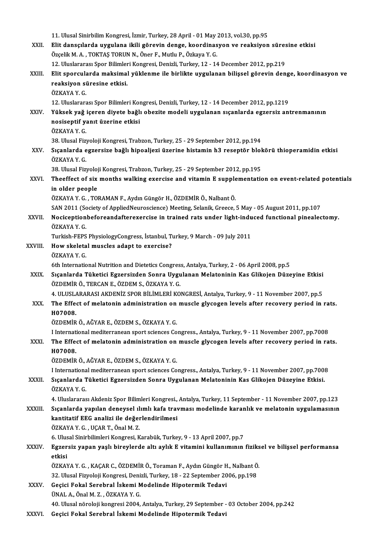|               | 11. Ulusal Sinirbilim Kongresi, İzmir, Turkey, 28 April - 01 May 2013, vol.30, pp.95                                      |
|---------------|---------------------------------------------------------------------------------------------------------------------------|
| XXII.         | Elit dansçılarda uygulana ikili görevin denge, koordinasyon ve reaksiyon süresine etkisi                                  |
|               | Özçelik M. A., TOKTAŞ TORUN N., Öner F., Mutlu P., Özkaya Y. G.                                                           |
|               | 12. Uluslararası Spor Bilimleri Kongresi, Denizli, Turkey, 12 - 14 December 2012, pp.219                                  |
| XXIII.        | Elit sporcularda maksimal yüklenme ile birlikte uygulanan bilişsel görevin denge, koordinasyon ve                         |
|               | reaksiyon süresine etkisi.                                                                                                |
|               | ÖZKAYA Y.G.                                                                                                               |
| XXIV.         | 12. Uluslararası Spor Bilimleri Kongresi, Denizli, Turkey, 12 - 14 December 2012, pp.1219                                 |
|               | Yüksek yağ içeren diyete bağlı obezite modeli uygulanan sıçanlarda egzersiz antrenmanının                                 |
|               | nosiseptif yanıt üzerine etkisi<br>ÖZKAYA Y G                                                                             |
|               | 38. Ulusal Fizyoloji Kongresi, Trabzon, Turkey, 25 - 29 September 2012, pp.194                                            |
| XXV.          | Sıçanlarda egzersize bağlı hipoaljezi üzerine histamin h3 reseptör blokörü thioperamidin etkisi                           |
|               | ÖZKAYA Y G                                                                                                                |
|               | 38. Ulusal Fizyoloji Kongresi, Trabzon, Turkey, 25 - 29 September 2012, pp.195                                            |
| XXVI.         | Theeffect of six months walking exercise and vitamin E supplementation on event-related potentials                        |
|               | in older people                                                                                                           |
|               | ÖZKAYA Y. G., TORAMAN F., Aydın Güngör H., ÖZDEMİR Ö., Nalbant Ö.                                                         |
|               | SAN 2011 (Society of AppliedNeuroscience) Meeting, Selanik, Greece, 5 May - 05 August 2011, pp.107                        |
| <b>XXVII</b>  | Nociceptionbeforeandafterexercise in trained rats under light-induced functional pinealectomy.                            |
|               | ÖZKAYA Y.G.                                                                                                               |
|               | Turkish-FEPS PhysiologyCongress, İstanbul, Turkey, 9 March - 09 July 2011                                                 |
| XXVIII.       | How skeletal muscles adapt to exercise?                                                                                   |
|               | ÖZKAYA Y.G.<br>6th International Nutrition and Dietetics Congress, Antalya, Turkey, 2 - 06 April 2008, pp.5               |
| XXIX.         | Sıçanlarda Tüketici Egzersizden Sonra Uygulanan Melatoninin Kas Glikojen Düzeyine Etkisi                                  |
|               | ÖZDEMİR Ö., TERCAN E., ÖZDEM S., ÖZKAYA Y. G.                                                                             |
|               | 4. ULUSLARARASI AKDENİZ SPOR BİLİMLERİ KONGRESİ, Antalya, Turkey, 9 - 11 November 2007, pp.5                              |
| XXX.          | The Effect of melatonin administration on muscle glycogen levels after recovery period in rats.                           |
|               | H07008.                                                                                                                   |
|               | ÖZDEMİR Ö., AĞYAR E., ÖZDEM S., ÖZKAYA Y. G.                                                                              |
|               | I International mediterranean sport sciences Congress., Antalya, Turkey, 9 - 11 November 2007, pp.7008                    |
| XXXI.         | The Effect of melatonin administration on muscle glycogen levels after recovery period in rats.                           |
|               | H07008.                                                                                                                   |
|               | ÖZDEMİR Ö., AĞYAR E., ÖZDEM S., ÖZKAYA Y. G.                                                                              |
|               | I International mediterranean sport sciences Congress., Antalya, Turkey, 9 - 11 November 2007, pp.7008                    |
| XXXII.        | Sıçanlarda Tüketici Egzersizden Sonra Uygulanan Melatoninin Kas Glikojen Düzeyine Etkisi.                                 |
|               | ÖZKAYA Y.G.<br>4. Uluslararası Akdeniz Spor Bilimleri Kongresi., Antalya, Turkey, 11 September - 11 November 2007, pp.123 |
| <b>XXXIII</b> | Sıçanlarda yapılan deneysel ılımlı kafa travması modelinde karanlık ve melatonin uygulamasının                            |
|               | kantitatif EEG analizi ile değerlendirilmesi                                                                              |
|               | ÖZKAYA Y.G., UÇAR T., Önal M.Z.                                                                                           |
|               | 6. Ulusal Sinirbilimleri Kongresi, Karabük, Turkey, 9 - 13 April 2007, pp.7                                               |
| XXXIV.        | Egzersiz yapan yaşlı bireylerde altı aylık E vitamini kullanımının fiziksel ve bilişsel performansa                       |
|               | etkisi                                                                                                                    |
|               | ÖZKAYA Y. G., KAÇAR C., ÖZDEMİR Ö., Toraman F., Aydın Güngör H., Nalbant Ö.                                               |
|               | 32. Ulusal Fizyoloji Kongresi, Denizli, Turkey, 18 - 22 September 2006, pp.198                                            |
| XXXV.         | Geçici Fokal Serebral İskemi Modelinde Hipotermik Tedavi                                                                  |
|               | ÜNAL A., Önal M. Z., ÖZKAYA Y. G.                                                                                         |
|               | 40. Ulusal nöroloji kongresi 2004, Antalya, Turkey, 29 September - 03 October 2004, pp.242                                |
| XXXVI.        | Geçici Fokal Serebral İskemi Modelinde Hipotermik Tedavi                                                                  |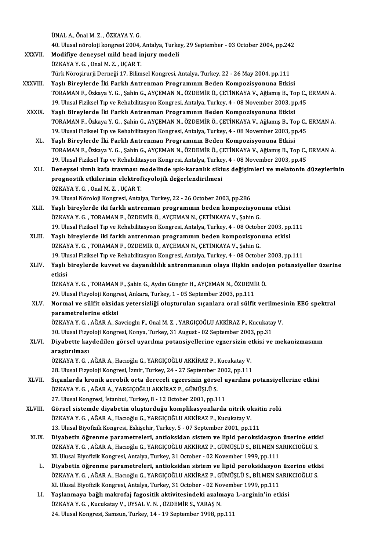ÜNALA.,ÖnalM.Z. ,ÖZKAYAY.G.

ÜNAL A., Önal M. Z. , ÖZKAYA Y. G.<br>40. Ulusal nöroloji kongresi 2004, Antalya, Turkey, 29 September - 03 October 2004, pp.242<br>Modifiya danavaal mild haad iniuuy modali.

XXXVII. Modifiye deneysel mild head injury modeli<br>ÖZKAYA Y. G. . Onal M. Z. . UCAR T.

40. Ulusal nöroloji kongresi 2004,<br>Modifiye deneysel mild head in<br>ÖZKAYA Y. G. , Onal M. Z. , UÇAR T.<br>Türk Nörosinurii Donnaği 17. Bilim

Türk Nöroşirurji Derneği 17. Bilimsel Kongresi, Antalya, Turkey, 22 - 26 May 2004, pp.111

- XXXVIII. Yaşlı Bireylerde İki Farklı Antrenman Programının Beden Kompozisyonuna Etkisi Türk Nöroşirurji Derneği 17. Bilimsel Kongresi, Antalya, Turkey, 22 - 26 May 2004, pp.111<br>Yaşlı Bireylerde İki Farklı Antrenman Programının Beden Kompozisyonuna Etkisi<br>TORAMAN F., Özkaya Y. G. , Şahin G., AYÇEMAN N., ÖZDEM Yaşlı Bireylerde İki Farklı Antrenman Programının Beden Kompozisyonuna Etkisi<br>TORAMAN F., Özkaya Y. G. , Şahin G., AYÇEMAN N., ÖZDEMİR Ö., ÇETİNKAYA V., Ağlamış B., Top C.,<br>19. Ulusal Fiziksel Tıp ve Rehabilitasyon Kongres 19. Ulusal Fiziksel Tıp ve Rehabilitasyon Kongresi, Antalya, Turkey, 4 - 08 November 2003, pp.45<br>XXXIX. Yaşlı Bireylerde İki Farklı Antrenman Programının Beden Kompozisyonuna Etkisi
	- 19. Ulusal Fiziksel Tıp ve Rehabilitasyon Kongresi, Antalya, Turkey, 4 08 November 2003, pp.45<br>Yaşlı Bireylerde İki Farklı Antrenman Programının Beden Kompozisyonuna Etkisi<br>TORAMAN F., Özkaya Y. G. , Şahin G., AYÇEMAN N. Yaşlı Bireylerde İki Farklı Antrenman Programının Beden Kompozisyonuna Etkisi<br>TORAMAN F., Özkaya Y. G. , Şahin G., AYÇEMAN N., ÖZDEMİR Ö., ÇETİNKAYA V., Ağlamış B., Top C.,<br>19. Ulusal Fiziksel Tıp ve Rehabilitasyon Kongres 19. Ulusal Fiziksel Tıp ve Rehabilitasyon Kongresi, Antalya, Turkey, 4 - 08 November 2003, pp.45<br>XL. Yaşlı Bireylerde İki Farklı Antrenman Programının Beden Kompozisyonuna Etkisi
		- TORAMANF.,ÖzkayaY.G. ,ŞahinG.,AYÇEMANN.,ÖZDEMİRÖ.,ÇETİNKAYAV.,AğlamışB.,TopC.,ERMANA. Yaşlı Bireylerde İki Farklı Antrenman Programının Beden Kompozisyonuna Etkisi<br>TORAMAN F., Özkaya Y. G. , Şahin G., AYÇEMAN N., ÖZDEMİR Ö., ÇETİNKAYA V., Ağlamış B., Top C.,<br>19. Ulusal Fiziksel Tıp ve Rehabilitasyon Kongres TORAMAN F., Özkaya Y. G., Şahin G., AYÇEMAN N., ÖZDEMİR Ö., ÇETİNKAYA V., Ağlamış B., Top C., ERMAN A.<br>19. Ulusal Fiziksel Tıp ve Rehabilitasyon Kongresi, Antalya, Turkey, 4 - 08 November 2003, pp.45<br>XLI. Deneysel ılımlı k
		- 19. Ulusal Fiziksel Tıp ve Rehabilitasyon Kongresi, Antalya, Turke<br>Deneysel ılımlı kafa travması modelinde ışık-karanlık sikli<br>prognostik etkilerinin elektrofizyolojik değerlendirilmesi<br>ÖZKAVA V.C. Opel M.Z. UCAR T Deneysel ılımlı kafa travması n<br>prognostik etkilerinin elektrof<br>ÖZKAYA Y. G. , Onal M. Z. , UÇAR T.<br>20 Ulucal Nöroloji Kongresi Antal prognostik etkilerinin elektrofizyolojik değerlendirilmesi<br>ÖZKAYA Y. G. , Onal M. Z. , UÇAR T.<br>39. Ulusal Nöroloji Kongresi, Antalya, Turkey, 22 - 26 October 2003, pp.286
	- XLI . Yaşlı bireylerde iki farklı antrenman programının beden kompozisyonuna etkisi ÖZKAYA Y. G., TORAMAN F., ÖZDEMİR Ö., AYÇEMAN N., ÇETİNKAYA V., Şahin G. Yaşlı bireylerde iki farklı antrenman programının beden kompozisyonuna etkisi<br>ÖZKAYA Y. G. , TORAMAN F., ÖZDEMİR Ö., AYÇEMAN N., ÇETİNKAYA V., Şahin G.<br>19. Ulusal Fiziksel Tıp ve Rehabilitasyon Kongresi, Antalya, Turkey, 4 ÖZKAYA Y. G. , TORAMAN F., ÖZDEMİR Ö., AYÇEMAN N., ÇETİNKAYA V., Şahin G.<br>19. Ulusal Fiziksel Tıp ve Rehabilitasyon Kongresi, Antalya, Turkey, 4 - 08 October 2003, pp<br>XLIII. Yaşlı bireylerde iki farklı antrenman programını
	- Yaşlı bireylerde iki farklı antrenman programının beden kompozisyonuna etkisi<br>ÖZKAYA Y. G. , TORAMAN F., ÖZDEMİR Ö., AYÇEMAN N., ÇETİNKAYA V., Şahin G. Yaşlı bireylerde iki farklı antrenman programının beden kompozisyonuna etkisi<br>ÖZKAYA Y. G. , TORAMAN F., ÖZDEMİR Ö., AYÇEMAN N., ÇETİNKAYA V., Şahin G.<br>19. Ulusal Fiziksel Tıp ve Rehabilitasyon Kongresi, Antalya, Turkey, 4 ÖZKAYA Y. G. , TORAMAN F., ÖZDEMİR Ö., AYÇEMAN N., ÇETİNKAYA V., Şahin G.<br>19. Ulusal Fiziksel Tıp ve Rehabilitasyon Kongresi, Antalya, Turkey, 4 - 08 October 2003, pp.111<br>XLIV. Yaşlı bireylerde kuvvet ve dayanıklılık a
	- 19. Ul<mark>t</mark><br>Yaşlı<br>etkisi Yaşlı bireylerde kuvvet ve dayanıklılık antrenmanının olaya ilişkin endoj<br>etkisi<br>ÖZKAYA Y. G. , TORAMAN F., Şahin G., Aydın Güngör H., AYÇEMAN N., ÖZDEMİR Ö.<br>20 Ulucal Eizveleji Kongresi Ankara Turkey 1 , 05 Sentember 2002

etkisi<br>ÖZKAYA Y. G. , TORAMAN F., Şahin G., Aydın Güngör H., AYÇEMAN N., ÖZDEMİR Ö.<br>29. Ulusal Fizyoloji Kongresi, Ankara, Turkey, 1 - 05 September 2003, pp.111

ÖZKAYA Y. G. , TORAMAN F., Şahin G., Aydın Güngör H., AYÇEMAN N., ÖZDEMİR Ö.<br>29. Ulusal Fizyoloji Kongresi, Ankara, Turkey, 1 - 05 September 2003, pp.111<br>XLV. Normal ve sülfit oksidaz yetersizliği oluşturulan sıçanlara 29. Ulusal Fizyoloji Kongr<br>Normal ve sülfit oksida<br>parametrelerine etkisi<br>ÖZKAVA V G - AČAR A-S Normal ve sülfit oksidaz yetersizliği oluşturulan sıçanlara oral sülfit verilmes<br>parametrelerine etkisi<br>ÖZKAYA Y.G., AĞAR A., Savcioglu F., Onal M. Z., YARGIÇOĞLU AKKİRAZ P., Kucukatay V.<br>20 Ulucal Firyalaji Kangresi Kanya parametrelerine etkisi<br>ÖZKAYA Y. G. , AĞAR A., Savcioglu F., Onal M. Z. , YARGIÇOĞLU AKKİRAZ P., Kucukata<br>30. Ulusal Fizyoloji Kongresi, Konya, Turkey, 31 August - 02 September 2003, pp.31<br>Divebette kavdedilen görsel uveru

## ÖZKAYA Y. G. , AĞAR A., Savcioglu F., Onal M. Z. , YARGIÇOĞLU AKKİRAZ P., Kucukatay V.<br>30. Ulusal Fizyoloji Kongresi, Konya, Turkey, 31 August - 02 September 2003, pp.31<br>XLVI. Diyabette kaydedilen görsel uyarılma potan 30. Ulusal Fizy<br>Diyabette kay<br>araştırılması Diyabette kaydedilen görsel uyarılma potansiyellerine egzersizin e<br>araştırılması<br>ÖZKAYA Y. G. , AĞAR A., Hacıoğlu G., YARGIÇOĞLU AKKİRAZ P., Kucukatay V.<br>28 Hlucel Eiryeleji Kangresi İsmin Turkey 24 , 27 Santambar 2002, nr

araştırılması<br>ÖZKAYA Y. G. , AĞAR A., Hacıoğlu G., YARGIÇOĞLU AKKİRAZ P., Kucukatay V.<br>28. Ulusal Fizyoloji Kongresi, İzmir, Turkey, 24 - 27 September 2002, pp.111<br>Sısanlanda kranik aspabili arta darasali aspapsiyin gönesl

- 28. Ulusal Fizyoloji Kongresi, İzmir, Turkey, 24 27 September 2002, pp.111<br>XLVII. Sıçanlarda kronik aerobik orta dereceli egzersizin görsel uyarılma potansiyellerine etkisi 28. Ulusal Fizyoloji Kongresi, İzmir, Turkey, 24 - 27 September ;<br>Sıçanlarda kronik aerobik orta dereceli egzersizin görse<br>ÖZKAYA Y. G. , AĞAR A., YARGIÇOĞLU AKKİRAZ P., GÜMÜŞLÜ S.<br>27. Ulusal Kongresi, İstanbul, Turkey, 8. Sıçanlarda kronik aerobik orta dereceli egzersizin görsel u<br>ÖZKAYA Y. G. , AĞAR A., YARGIÇOĞLU AKKİRAZ P., GÜMÜŞLÜ S.<br>27. Ulusal Kongresi, İstanbul, Turkey, 8 - 12 October 2001, pp.111<br>Görsel sistamda diyabetin olusturduğu
- 27. Ulusal Kongresi, İstanbul, Turkey, 8 12 October 2001, pp.111<br>XLVIII. Görsel sistemde diyabetin oluşturduğu komplikasyonlarda nitrik oksitin rolü 27. Ulusal Kongresi, İstanbul, Turkey, 8 - 12 October 2001, pp.111<br>Görsel sistemde diyabetin oluşturduğu komplikasyonlarda nitrik ol<br>ÖZKAYA Y. G. , AĞAR A., Hacıoğlu G., YARGIÇOĞLU AKKİRAZ P., Kucukatay V.<br>12. Ulusal Biyof Görsel sistemde diyabetin oluşturduğu komplikasyonlarda nitrik oksit<br>ÖZKAYA Y. G. , AĞAR A., Hacıoğlu G., YARGIÇOĞLU AKKİRAZ P., Kucukatay V.<br>13. Ulusal Biyofizik Kongresi, Eskişehir, Turkey, 5 - 07 September 2001, pp.111<br> ÖZKAYA Y. G., AĞAR A., Hacıoğlu G., YARGIÇOĞLU AKKİRAZ P., Kucukatay V.<br>13. Ulusal Biyofizik Kongresi, Eskişehir, Turkey, 5 - 07 September 2001, pp.111<br>XLIX. Diyabetin öğrenme parametreleri, antioksidan sistem ve lipid per
	- 13. Ulusal Biyofizik Kongresi, Eskişehir, Turkey, 5 07 September 2001, pp.111<br>Diyabetin öğrenme parametreleri, antioksidan sistem ve lipid peroksidasyon üzerine etki<br>ÖZKAYA Y. G. , AĞAR A., Hacıoğlu G., YARGIÇOĞLU AKKİRA Diyabetin öğrenme parametreleri, antioksidan sistem ve lipid peroksidasyon<br>ÖZKAYA Y. G. , AĞAR A., Hacıoğlu G., YARGIÇOĞLU AKKİRAZ P., GÜMÜŞLÜ S., BİLMEN S.<br>XI. Ulusal Biyofizik Kongresi, Antalya, Turkey, 31 October - 02 N ÖZKAYA Y. G. , AĞAR A., Hacıoğlu G., YARGIÇOĞLU AKKİRAZ P., GÜMÜŞLÜ S., BİLMEN SARIKCIOĞLU S.<br>XI. Ulusal Biyofizik Kongresi, Antalya, Turkey, 31 October - 02 November 1999, pp.111<br>L. Diyabetin öğrenme parametreleri, an
		- XI. Ulusal Biyofizik Kongresi, Antalya, Turkey, 31 October 02 November 1999, pp.111<br><mark>Diyabetin öğrenme parametreleri, antioksidan sistem ve lipid peroksidasyon üzerine etki</mark><br>ÖZKAYA Y. G. , AĞAR A., Hacıoğlu G., YARGIÇOĞL Diyabetin öğrenme parametreleri, antioksidan sistem ve lipid peroksidasyon<br>ÖZKAYA Y. G. , AĞAR A., Hacıoğlu G., YARGIÇOĞLU AKKİRAZ P., GÜMÜŞLÜ S., BİLMEN S.<br>XI. Ulusal Biyofizik Kongresi, Antalya, Turkey, 31 October - 02 N ÖZKAYA Y. G. , AĞAR A., Hacıoğlu G., YARGIÇOĞLU AKKİRAZ P., GÜMÜŞLÜ S., BİLMEN SARII<br>XI. Ulusal Biyofizik Kongresi, Antalya, Turkey, 31 October - 02 November 1999, pp.111<br>LI. Yaşlanmaya bağlı makrofaj fagositik aktivitesin
		- XI. Ulusal Biyofizik Kongresi, Antalya, Turkey, 31 October 02 November 1999, pp.111<br>LI. Yaşlanmaya bağlı makrofaj fagositik aktivitesindeki azalmaya L-arginin'in etkisi<br>ÖZKAYA Y. G., Kucukatay V., UYSAL V. N., ÖZDEMİR S. 24. Ulusal Kongresi, Samsun, Turkey, 14 - 19 September 1998, pp.111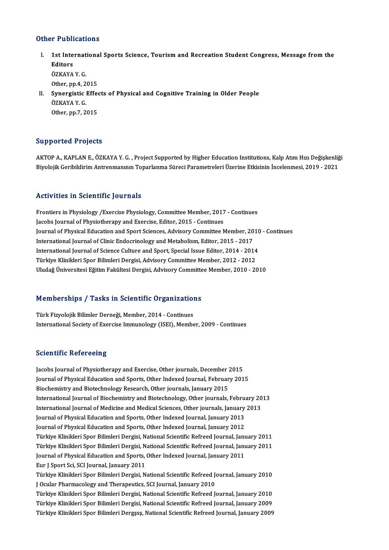### Other Publications

- ther Publications<br>I. 1st International Sports Science, Tourism and Recreation Student Congress, Message from the<br>Editors 1 1 april<br>1st Inte<br>Editors<br>ÖZKAVA 1st Internat<br>Editors<br>ÖZKAYA Y. G.<br>Otber nn 4-2 Editors<br>ÖZKAYA Y. G.<br>Other, pp.4, 2015 ÖZKAYA Y. G.<br>Other, pp.4, 2015<br>II. Synergistic Effects of Physical and Cognitive Training in Older People<br>ÖZKAYA Y. C
- Other, pp.4, 2<br>Synergistic ]<br>ÖZKAYA Y. G.<br>Other nn 7, 2 ÖZKAYA Y.G.<br>Other, pp.7, 2015

### Supported Projects

AKTOP A., KAPLAN E., ÖZKAYA Y. G., Project Supported by Higher Education Institutions, Kalp Atım Hızı Değişkenliği Biyolojik Geribildirim Antrenmanının Toparlanma Süreci Parametreleri Üzerine Etkisinin İncelenmesi, 2019 - 2021

### Activities in Scientific Journals

Frontiers in Physiology /Exercise Physiology, Committee Member, 2017 - Continues Jacobs Journal of Physiotherapy and Exercise, Editor, 2015 - Continues Frontiers in Physiology /Exercise Physiology, Committee Member, 2017 - Continues<br>Jacobs Journal of Physiotherapy and Exercise, Editor, 2015 - Continues<br>Journal of Physical Education and Sport Sciences, Advisory Committee M Jacobs Journal of Physiotherapy and Exercise, Editor, 2015 - Continues<br>Journal of Physical Education and Sport Sciences, Advisory Committee Member, 20<br>International Journal of Clinic Endocrinology and Metabolism, Editor, 2 Journal of Physical Education and Sport Sciences, Advisory Committee Member, 2010<br>International Journal of Clinic Endocrinology and Metabolism, Editor, 2015 - 2017<br>International Journal of Science Culture and Sport, Specia International Journal of Clinic Endocrinology and Metabolism, Editor, 2015 - 2017<br>International Journal of Science Culture and Sport, Special Issue Editor, 2014 - 2014<br>Türkiye Klinikleri Spor Bilimleri Dergisi, Advisory Co Uludağ Üniversitesi Eğitim Fakültesi Dergisi, Advisory Committee Member, 2010 - 2010

# oludag oniversitesi Egium Fakultesi Dergisi, Advisory Committe<br>Memberships / Tasks in Scientific Organizations

Memberships / Tasks in Scientific Organization<br>Türk Fizyolojik Bilimler Derneği, Member, 2014 - Continues<br>International Society of Exercise Immunelegy (ISEI), Membe Türk Fizyolojik Bilimler Derneği, Member, 2014 - Continues<br>International Society of Exercise Immunology (ISEI), Member, 2009 - Continues

### **Scientific Refereeing**

Jacobs Journal of Physiotherapy and Exercise, Other journals, December 2015 Journal of Physical Education and Sports, Other Indexed Journal, February 2015 Biochemistry and Biotechnology Research, Other journals, January 2015 Journal of Physical Education and Sports, Other Indexed Journal, February 2015<br>Biochemistry and Biotechnology Research, Other journals, January 2015<br>International Journal of Biochemistry and Biotechnology, Other journals, Biochemistry and Biotechnology Research, Other journals, January 2015<br>International Journal of Biochemistry and Biotechnology, Other journals, February 20<br>International Journal of Medicine and Medical Sciences, Other journ International Journal of Biochemistry and Biotechnology, Other journals, Febru:<br>International Journal of Medicine and Medical Sciences, Other journals, January<br>Journal of Physical Education and Sports, Other Indexed Journa International Journal of Medicine and Medical Sciences, Other journals, January<br>Journal of Physical Education and Sports, Other Indexed Journal, January 2013<br>Journal of Physical Education and Sports, Other Indexed Journal, Journal of Physical Education and Sports, Other Indexed Journal, January 2012<br>Türkiye Klinikleri Spor Bilimleri Dergisi, National Scientific Refreed Journal, January 2011 Journal of Physical Education and Sports, Other Indexed Journal, January 2012<br>Türkiye Klinikleri Spor Bilimleri Dergisi, National Scientific Refreed Journal, January 2011<br>Türkiye Klinikleri Spor Bilimleri Dergisi, National Türkiye Klinikleri Spor Bilimleri Dergisi, National Scientific Refreed Journal, Janu<br>Türkiye Klinikleri Spor Bilimleri Dergisi, National Scientific Refreed Journal, Janu<br>Journal of Physical Education and Sports, Other Inde Türkiye Klinikleri Spor Bilimleri Dergisi, N<br>Journal of Physical Education and Sports,<br>Eur J Sport Sci, SCI Journal, January 2011<br>Türkiye Klinikleri Spor Bilimleri Dergisi, N Journal of Physical Education and Sports, Other Indexed Journal, January 2011<br>Eur J Sport Sci, SCI Journal, January 2011<br>Türkiye Klinikleri Spor Bilimleri Dergisi, National Scientific Refreed Journal, January 2010<br>LOgylar Eur J Sport Sci, SCI Journal, January 2011<br>Türkiye Klinikleri Spor Bilimleri Dergisi, National Scientific Refreed Jo<br>J Ocular Pharmacology and Therapeutics, SCI Journal, January 2010<br>Türkiye Klinikleri Spor Bilimleri Dergi Türkiye Klinikleri Spor Bilimleri Dergisi, National Scientific Refreed Journal, January 2010<br>J Ocular Pharmacology and Therapeutics, SCI Journal, January 2010<br>Türkiye Klinikleri Spor Bilimleri Dergisi, National Scientific J Ocular Pharmacology and Therapeutics, SCI Journal, January 2010<br>Türkiye Klinikleri Spor Bilimleri Dergisi, National Scientific Refreed Journal, January 2010<br>Türkiye Klinikleri Spor Bilimleri Dergisi, National Scientific Türkiye Klinikleri Spor Bilimleri Dergisi, National Scientific Refreed Journal, January 2010<br>Türkiye Klinikleri Spor Bilimleri Dergisi, National Scientific Refreed Journal, January 2009<br>Türkiye Klinikleri Spor Bilimleri De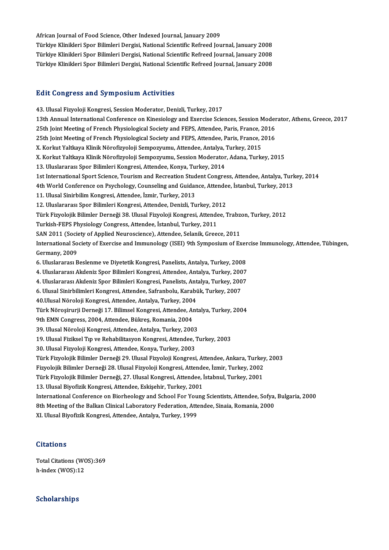African Journal of Food Science, Other Indexed Journal, January 2009 African Journal of Food Science, Other Indexed Journal, January 2009<br>Türkiye Klinikleri Spor Bilimleri Dergisi, National Scientific Refreed Journal, January 2008<br>Türkiye Klinikleri Spor Bilimleri Dergisi, National Scientif African Journal of Food Science, Other Indexed Journal, January 2009<br>Türkiye Klinikleri Spor Bilimleri Dergisi, National Scientific Refreed Journal, January 2008<br>Türkiye Klinikleri Spor Bilimleri Dergisi, National Scientif Türkiye Klinikleri Spor Bilimleri Dergisi, National Scientific Refreed Journal, January 2008<br>Türkiye Klinikleri Spor Bilimleri Dergisi, National Scientific Refreed Journal, January 2008

### **Edit Congress and Symposium Activities**

43. Ulusal Fizyoloji Kongresi, Session Moderator, Denizli, Turkey, 2017 13th Annual International Conference on Kinesiology and Exercise Sciences, Session Moderator, Athens, Greece, 2017 25th Joint Meeting of French Physiological Society and FEPS, Attendee, Paris, France, 2016 13th Annual International Conference on Kinesiology and Exercise Sciences, Session Moder<br>25th Joint Meeting of French Physiological Society and FEPS, Attendee, Paris, France, 2016<br>25th Joint Meeting of French Physiological 25th Joint Meeting of French Physiological Society and FEPS, Attendee, Paris, France, 2<br>25th Joint Meeting of French Physiological Society and FEPS, Attendee, Paris, France, 2<br>X. Korkut Yaltkaya Klinik Nörofizyoloji Sempoz 25th Joint Meeting of French Physiological Society and FEPS, Attendee, Paris, France, 2016<br>X. Korkut Yaltkaya Klinik Nörofizyoloji Sempozyumu, Attendee, Antalya, Turkey, 2015<br>X. Korkut Yaltkaya Klinik Nörofizyoloji Sempozy X. Korkut Yaltkaya Klinik Nörofizyoloji Sempozyumu, Attendee, Antalya, Turkey, 2015<br>X. Korkut Yaltkaya Klinik Nörofizyoloji Sempozyumu, Session Moderator, Adana, Turkey, 2015<br>13. Uluslararası Spor Bilimleri Kongresi, Atten X. Korkut Yaltkaya Klinik Nörofizyoloji Sempozyumu, Session Moderator, Adana, Turkey, 2015<br>13. Uluslararası Spor Bilimleri Kongresi, Attendee, Konya, Turkey, 2014<br>1st International Sport Science, Tourism and Recreation Stu 13. Uluslararası Spor Bilimleri Kongresi, Attendee, Konya, Turkey, 2014<br>1st International Sport Science, Tourism and Recreation Student Congress, Attendee, Antalya, Turk<br>4th World Conference on Psychology, Counseling and G 11. Ulusal Sinirbilim Kongresi, Attendee, İzmir, Turkey, 2013<br>12. Uluslararası Spor Bilimleri Kongresi, Attendee, Denizli, Turkey, 2012 4th World Conference on Psychology, Counseling and Guidance, Attendee, İstanbul, Turkey, 2013 11. Ulusal Sinirbilim Kongresi, Attendee, İzmir, Turkey, 2013<br>12. Uluslararası Spor Bilimleri Kongresi, Attendee, Denizli, Turkey, 2012<br>Türk Fizyolojik Bilimler Derneği 38. Ulusal Fizyoloji Kongresi, Attendee, Trabzon, Tur Turkish-FEPS Physiology Congress, Attendee, İstanbul, Turkey, 2011<br>SAN 2011 (Society of Applied Neuroscience), Attendee, Selanik, Greece, 2011 Türk Fizyolojik Bilimler Derneği 38. Ulusal Fizyoloji Kongresi, Attendee, Trabzo<br>Turkish-FEPS Physiology Congress, Attendee, İstanbul, Turkey, 2011<br>SAN 2011 (Society of Applied Neuroscience), Attendee, Selanik, Greece, 201 Turkish-FEPS Physiology Congress, Attendee, İstanbul, Turkey, 2011<br>SAN 2011 (Society of Applied Neuroscience), Attendee, Selanik, Greece, 2011<br>International Society of Exercise and Immunology (ISEI) 9th Symposium of Exerci SAN 2011 (Socienti<br>International Sociential<br>Germany, 2009 International Society of Exercise and Immunology (ISEI) 9th Symposium of Exer<br>Germany, 2009<br>6. Uluslararası Beslenme ve Diyetetik Kongresi, Panelists, Antalya, Turkey, 2008<br>4. Uluslararası Akdoniz Spor Bilimleri Kongresi, Germany, 2009<br>6. Uluslararası Beslenme ve Diyetetik Kongresi, Panelists, Antalya, Turkey, 2008<br>4. Uluslararası Akdeniz Spor Bilimleri Kongresi, Attendee, Antalya, Turkey, 2007<br>4. Uluslararası Akdeniz Spor Bilimleri Kongres 6. Uluslararası Beslenme ve Diyetetik Kongresi, Panelists, Antalya, Turkey, 2008<br>4. Uluslararası Akdeniz Spor Bilimleri Kongresi, Attendee, Antalya, Turkey, 2007<br>4. Uluslararası Akdeniz Spor Bilimleri Kongresi, Panelists, 4. Uluslararası Akdeniz Spor Bilimleri Kongresi, Attendee, Antalya, Turkey, 200<br>4. Uluslararası Akdeniz Spor Bilimleri Kongresi, Panelists, Antalya, Turkey, 200<br>6. Ulusal Sinirbilimleri Kongresi, Attendee, Safranbolu, Kara 4. Uluslararası Akdeniz Spor Bilimleri Kongresi, Panelists, Antalya, Turkey, 2007<br>6. Ulusal Sinirbilimleri Kongresi, Attendee, Safranbolu, Karabük, Turkey, 2007<br>40.Ulusal Nöroloji Kongresi, Attendee, Antalya, Turkey, 2004 6. Ulusal Sinirbilimleri Kongresi, Attendee, Safranbolu, Karabük, Turkey, 2007<br>40.Ulusal Nöroloji Kongresi, Attendee, Antalya, Turkey, 2004<br>Türk Nöroşirurji Derneği 17. Bilimsel Kongresi, Attendee, Antalya, Turkey, 2004<br>9t 40.Ulusal Nöroloji Kongresi, Attendee, Antalya, Turkey, 2004<br>Türk Nöroşirurji Derneği 17. Bilimsel Kongresi, Attendee, Ar<br>9th EMN Congress, 2004, Attendee, Bükreş, Romania, 2004<br>20. Ulusal Nöroloji Kongresi, Attendee, Anta Türk Nöroşirurji Derneği 17. Bilimsel Kongresi, Attendee, Anta<br>9th EMN Congress, 2004, Attendee, Bükreş, Romania, 2004<br>39. Ulusal Nöroloji Kongresi, Attendee, Antalya, Turkey, 2003<br>19. Ulusal Firikeel Tın ve Bebabilitasyon 9th EMN Congress, 2004, Attendee, Bükreş, Romania, 2004<br>39. Ulusal Nöroloji Kongresi, Attendee, Antalya, Turkey, 2003<br>19. Ulusal Fiziksel Tıp ve Rehabilitasyon Kongresi, Attendee, Turkey, 2003<br>30. Ulusal Fizyoloji Kongresi 39. Ulusal Nöroloji Kongresi, Attendee, Antalya, Turkey, 2003 19. Ulusal Fiziksel Tıp ve Rehabilitasyon Kongresi, Attendee, Turkey, 2003<br>30. Ulusal Fizyoloji Kongresi, Attendee, Konya, Turkey, 2003<br>Türk Fizyolojik Bilimler Derneği 29. Ulusal Fizyoloji Kongresi, Attendee, Ankara, Turk 30. Ulusal Fizyoloji Kongresi, Attendee, Konya, Turkey, 2003<br>Türk Fizyolojik Bilimler Derneği 29. Ulusal Fizyoloji Kongresi, Attendee, Ankara, Turkey<br>Fizyolojik Bilimler Derneği 28. Ulusal Fizyoloji Kongresi, Attendee, İzm Türk Fizyolojik Bilimler Derneği 29. Ulusal Fizyoloji Kongresi, Attendee, Ankara, Turkey<br>Fizyolojik Bilimler Derneği 28. Ulusal Fizyoloji Kongresi, Attendee, İzmir, Turkey, 2002<br>Türk Fizyolojik Bilimler Derneği, 27. Ulusal Fizyolojik Bilimler Derneği 28. Ulusal Fizyoloji Kongresi, Attendee, İzmir, Turkey, 2002<br>Türk Fizyolojik Bilimler Derneği, 27. Ulusal Kongresi, Attendee, İstabnul, Turkey, 2001<br>13. Ulusal Biyofizik Kongresi, Attendee, Eski Türk Fizyolojik Bilimler Derneği, 27. Ulusal Kongresi, Attendee, İstabnul, Turkey, 2001<br>13. Ulusal Biyofizik Kongresi, Attendee, Eskişehir, Turkey, 2001<br>International Conference on Biorheology and School For Young Scientis 13. Ulusal Biyofizik Kongresi, Attendee, Eskişehir, Turkey, 2001<br>International Conference on Biorheology and School For Young Scientists, Attendee, Sofya,<br>8th Meeting of the Balkan Clinical Laboratory Federation, Attendee, International Conference on Biorheology and School For You<br>8th Meeting of the Balkan Clinical Laboratory Federation, Atte<br>XI. Ulusal Biyofizik Kongresi, Attendee, Antalya, Turkey, 1999

XI. Ulusal Biyofizik Kongresi, Attendee, Antalya, Turkey, 1999<br>Citations

Citations<br>Total Citations (WOS):369<br>h index (WOS):12 **ordations**<br>Total Citations (WO<br>h-index (WOS):12 h-index (WOS):12<br>Scholarships